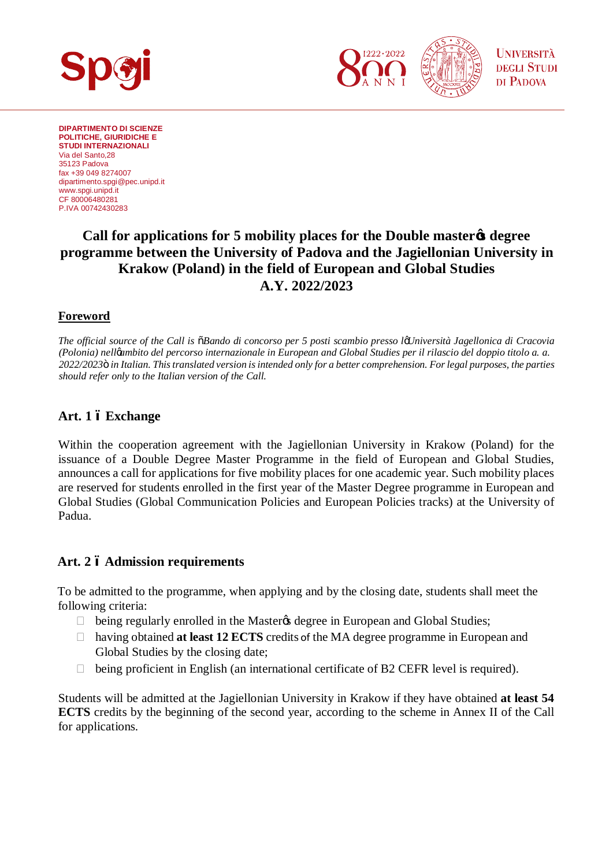

**DIPARTIMENTO DI SCIENZE POLITICHE, GIURIDICHE E STUDI INTERNAZIONALI** Via del Santo,28 35123 Padova fax +39 049 8274007 [dipartimento.spgi@pec.unipd.it](mailto:dipartimento.spgi@pec.unipd.it) www.spgi.unipd.it CF 80006480281 P.IVA 00742430283

# **Call for applications for 5 mobility places for the Double master's degree programme between the University of Padova and the Jagiellonian University in Krakow (Poland) in the field of European and Global Studies A.Y. 2022/2023**

### **Foreword**

*The official source of the Call is "Bando di concorso per 5 posti scambio presso l'Università Jagellonica di Cracovia (Polonia) nell'ambito del percorso internazionale in European and Global Studies per il rilascio del doppio titolo a. a. 2022/2023" in Italian. This translated version is intended only for a better comprehension. For legal purposes, the parties should refer only to the Italian version of the Call.*

## **Art. 1 – Exchange**

Within the cooperation agreement with the Jagiellonian University in Krakow (Poland) for the issuance of a Double Degree Master Programme in the field of European and Global Studies, announces a call for applications for five mobility places for one academic year. Such mobility places are reserved for students enrolled in the first year of the Master Degree programme in European and Global Studies (Global Communication Policies and European Policies tracks) at the University of Padua.

### **Art. 2 – Admission requirements**

To be admitted to the programme, when applying and by the closing date, students shall meet the following criteria:

being regularly enrolled in the Master $\alpha$  degree in European and Global Studies; having obtained **at least 12 ECTS** credits of the MA degree programme in European and Global Studies by the closing date;

being proficient in English (an international certificate of B2 CEFR level is required).

Students will be admitted at the Jagiellonian University in Krakow if they have obtained **at least 54 ECTS** credits by the beginning of the second year, according to the scheme in Annex II of the Call for applications.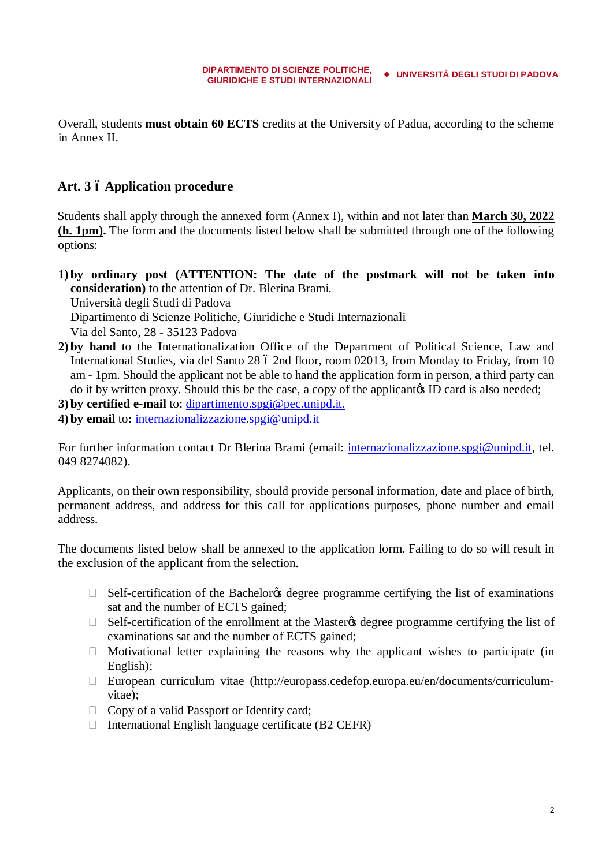Overall, students **must obtain 60 ECTS** credits at the University of Padua, according to the scheme in Annex II.

### **Art. 3 – Application procedure**

Students shall apply through the annexed form (Annex I), within and not later than **March 30, 2022 (h. 1pm).** The form and the documents listed below shall be submitted through one of the following options:

- **1) by ordinary post (ATTENTION: The date of the postmark will not be taken into consideration)** to the attention of Dr. Blerina Brami. Università degli Studi di Padova Dipartimento di Scienze Politiche, Giuridiche e Studi Internazionali Via del Santo, 28 - 35123 Padova
- **2) by hand** to the Internationalization Office of the Department of Political Science, Law and International Studies, via del Santo 28 ó 2nd floor, room 02013, from Monday to Friday, from 10 am - 1pm. Should the applicant not be able to hand the application form in person, a third party can do it by written proxy. Should this be the case, a copy of the applicant is ID card is also needed;

**3) by certified e-mail** to: [dipartimento.spgi@pec.unipd.it.](mailto:dipartimento.spgi@pec.unipd.it)

**4) by email** to**:** [internazionalizzazione.spgi@unipd.it](mailto:internazionalizzazione.spgi@unipd.it)

For further information contact Dr Blerina Brami (email: [internazionalizzazione.spgi@unipd.it,](mailto:internazionalizzazione.spgi@unipd.it) tel. 049 8274082).

Applicants, on their own responsibility, should provide personal information, date and place of birth, permanent address, and address for this call for applications purposes, phone number and email address.

The documents listed below shall be annexed to the application form. Failing to do so will result in the exclusion of the applicant from the selection.

Self-certification of the Bachelor ts degree programme certifying the list of examinations sat and the number of ECTS gained;

Self-certification of the enrollment at the Master & degree programme certifying the list of examinations sat and the number of ECTS gained;

 Motivational letter explaining the reasons why the applicant wishes to participate (in English);

 European curriculum vitae ([http://europass.cedefop.europa.eu/en/documents/curriculum](http://europass.cedefop.europa.eu/en/documents/curriculum-vitae)[vitae\)](http://europass.cedefop.europa.eu/en/documents/curriculum-vitae);

Copy of a valid Passport or Identity card;

International English language certificate (B2 CEFR)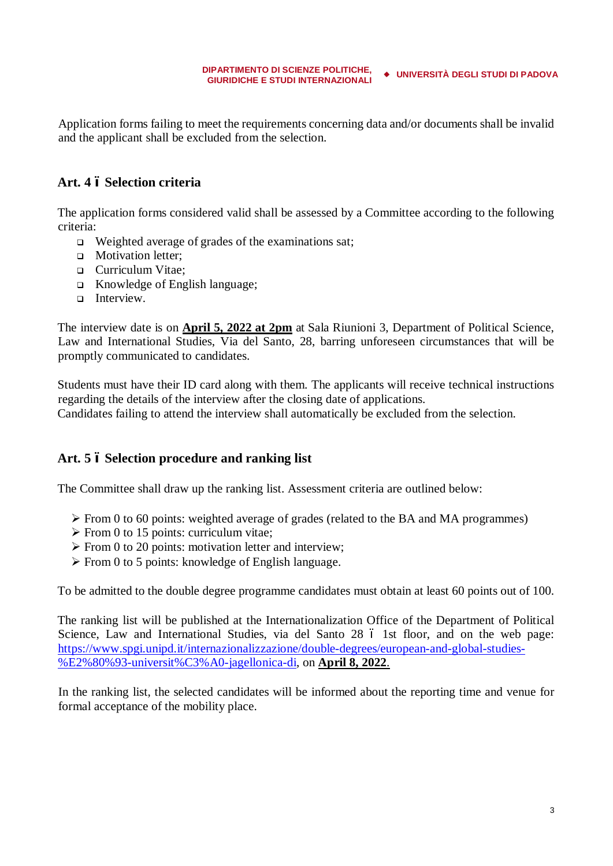Application forms failing to meet the requirements concerning data and/or documents shall be invalid and the applicant shall be excluded from the selection.

### **Art. 4 – Selection criteria**

The application forms considered valid shall be assessed by a Committee according to the following criteria:

- $\Box$  Weighted average of grades of the examinations sat;
- **q** Motivation letter:
- □ Curriculum Vitae;
- <sup>q</sup> Knowledge of English language;
- **q** Interview.

The interview date is on **April 5, 2022 at 2pm** at Sala Riunioni 3, Department of Political Science, Law and International Studies, Via del Santo, 28, barring unforeseen circumstances that will be promptly communicated to candidates.

Students must have their ID card along with them. The applicants will receive technical instructions regarding the details of the interview after the closing date of applications. Candidates failing to attend the interview shall automatically be excluded from the selection.

### **Art. 5 – Selection procedure and ranking list**

The Committee shall draw up the ranking list. Assessment criteria are outlined below:

- $\triangleright$  From 0 to 60 points: weighted average of grades (related to the BA and MA programmes)
- $\triangleright$  From 0 to 15 points: curriculum vitae;
- $\triangleright$  From 0 to 20 points: motivation letter and interview;
- $\triangleright$  From 0 to 5 points: knowledge of English language.

To be admitted to the double degree programme candidates must obtain at least 60 points out of 100.

The ranking list will be published at the Internationalization Office of the Department of Political Science, Law and International Studies, via del Santo 28 ó 1st floor, and on the web page: [https://www.spgi.unipd.it/internazionalizzazione/double-degrees/european-and-global-studies-](https://www.spgi.unipd.it/internazionalizzazione/double-degrees/european-and-global-studies-%E2%80%93-universit%C3%A0-jagellonica-di) [%E2%80%93-universit%C3%A0-jagellonica-di,](https://www.spgi.unipd.it/internazionalizzazione/double-degrees/european-and-global-studies-%E2%80%93-universit%C3%A0-jagellonica-di) on **April 8, 2022**.

In the ranking list, the selected candidates will be informed about the reporting time and venue for formal acceptance of the mobility place.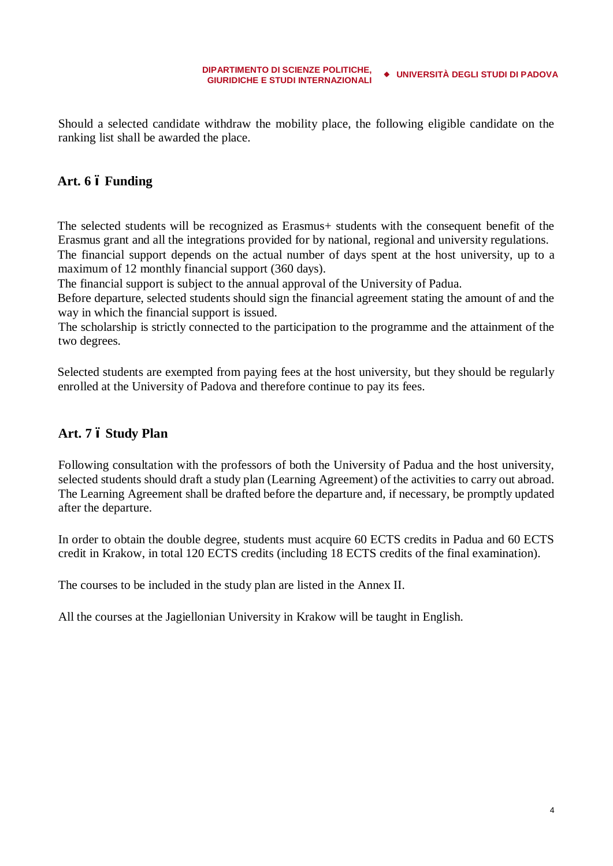Should a selected candidate withdraw the mobility place, the following eligible candidate on the ranking list shall be awarded the place.

### **Art. 6 – Funding**

The selected students will be recognized as Erasmus+ students with the consequent benefit of the Erasmus grant and all the integrations provided for by national, regional and university regulations. The financial support depends on the actual number of days spent at the host university, up to a

maximum of 12 monthly financial support (360 days).

The financial support is subject to the annual approval of the University of Padua.

Before departure, selected students should sign the financial agreement stating the amount of and the way in which the financial support is issued.

The scholarship is strictly connected to the participation to the programme and the attainment of the two degrees.

Selected students are exempted from paying fees at the host university, but they should be regularly enrolled at the University of Padova and therefore continue to pay its fees.

### **Art. 7 – Study Plan**

Following consultation with the professors of both the University of Padua and the host university, selected students should draft a study plan (Learning Agreement) of the activities to carry out abroad. The Learning Agreement shall be drafted before the departure and, if necessary, be promptly updated after the departure.

In order to obtain the double degree, students must acquire 60 ECTS credits in Padua and 60 ECTS credit in Krakow, in total 120 ECTS credits (including 18 ECTS credits of the final examination).

The courses to be included in the study plan are listed in the Annex II.

All the courses at the Jagiellonian University in Krakow will be taught in English.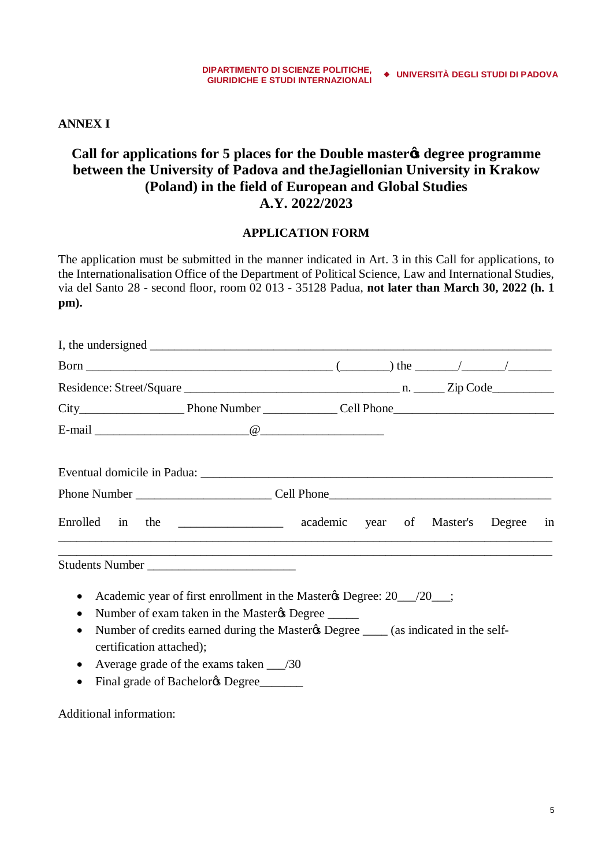**ANNEX I**

# **Call for applications for 5 places for the Double master's degree programme between the University of Padova and theJagiellonian University in Krakow (Poland) in the field of European and Global Studies A.Y. 2022/2023**

### **APPLICATION FORM**

The application must be submitted in the manner indicated in Art. 3 in this Call for applications, to the Internationalisation Office of the Department of Political Science, Law and International Studies, via del Santo 28 - second floor, room 02 013 - 35128 Padua, **not later than March 30, 2022 (h. 1 pm).**

|                                       | I, the undersigned $\frac{1}{\sqrt{1-\frac{1}{2}} \cdot \frac{1}{\sqrt{1-\frac{1}{2}} \cdot \frac{1}{\sqrt{1-\frac{1}{2}} \cdot \frac{1}{\sqrt{1-\frac{1}{2}} \cdot \frac{1}{\sqrt{1-\frac{1}{2}} \cdot \frac{1}{\sqrt{1-\frac{1}{2}} \cdot \frac{1}{\sqrt{1-\frac{1}{2}} \cdot \frac{1}{\sqrt{1-\frac{1}{2}} \cdot \frac{1}{\sqrt{1-\frac{1}{2}} \cdot \frac{1}{\sqrt{1-\frac{1}{2}} \cdot \frac{1}{\sqrt{1-\frac{1}{2}} \cdot \frac{$ |  |  |  |  |
|---------------------------------------|-----------------------------------------------------------------------------------------------------------------------------------------------------------------------------------------------------------------------------------------------------------------------------------------------------------------------------------------------------------------------------------------------------------------------------------------|--|--|--|--|
|                                       |                                                                                                                                                                                                                                                                                                                                                                                                                                         |  |  |  |  |
|                                       |                                                                                                                                                                                                                                                                                                                                                                                                                                         |  |  |  |  |
|                                       |                                                                                                                                                                                                                                                                                                                                                                                                                                         |  |  |  |  |
|                                       |                                                                                                                                                                                                                                                                                                                                                                                                                                         |  |  |  |  |
|                                       |                                                                                                                                                                                                                                                                                                                                                                                                                                         |  |  |  |  |
|                                       |                                                                                                                                                                                                                                                                                                                                                                                                                                         |  |  |  |  |
|                                       | Enrolled in the _____________ academic year of Master's Degree in                                                                                                                                                                                                                                                                                                                                                                       |  |  |  |  |
|                                       | ,我们也不能在这里的时候,我们也不能在这里的时候,我们也不能会在这里的时候,我们也不能会在这里的时候,我们也不能会在这里的时候,我们也不能会在这里的时候,我们也不<br>Students Number                                                                                                                                                                                                                                                                                                                                    |  |  |  |  |
|                                       | Academic year of first enrollment in the Master & Degree: 20 __________;                                                                                                                                                                                                                                                                                                                                                                |  |  |  |  |
| $\bullet$                             | Number of exam taken in the Master & Degree                                                                                                                                                                                                                                                                                                                                                                                             |  |  |  |  |
| $\bullet$<br>certification attached); | Number of credits earned during the Master & Degree _____ (as indicated in the self-                                                                                                                                                                                                                                                                                                                                                    |  |  |  |  |
| ٠                                     | Average grade of the exams taken 130                                                                                                                                                                                                                                                                                                                                                                                                    |  |  |  |  |
|                                       | Final grade of Bachelor & Degree                                                                                                                                                                                                                                                                                                                                                                                                        |  |  |  |  |

Additional information: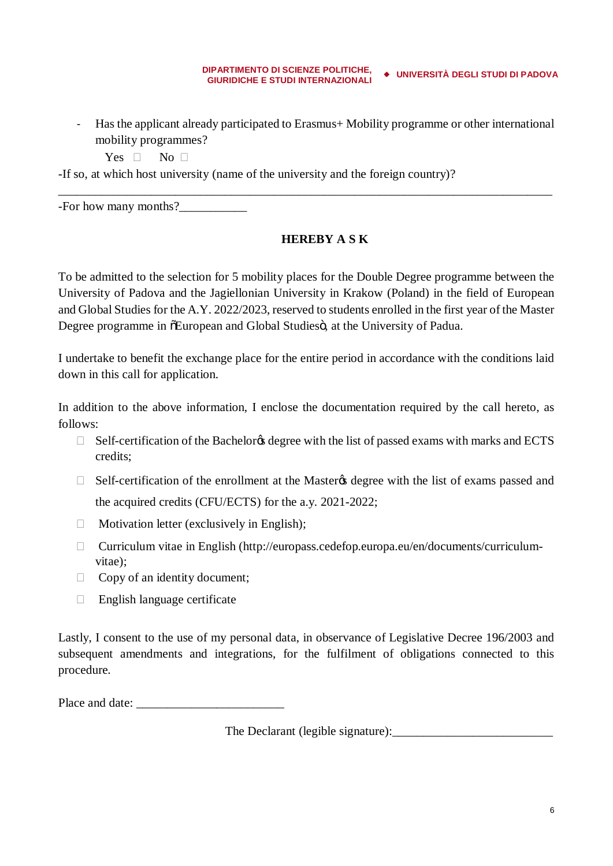- Has the applicant already participated to Erasmus+ Mobility programme or other international mobility programmes?

\_\_\_\_\_\_\_\_\_\_\_\_\_\_\_\_\_\_\_\_\_\_\_\_\_\_\_\_\_\_\_\_\_\_\_\_\_\_\_\_\_\_\_\_\_\_\_\_\_\_\_\_\_\_\_\_\_\_\_\_\_\_\_\_\_\_\_\_\_\_\_\_\_\_\_\_\_\_\_\_

Yes No

-If so, at which host university (name of the university and the foreign country)?

-For how many months?\_\_\_\_\_\_\_\_\_\_\_

### **HEREBY A S K**

To be admitted to the selection for 5 mobility places for the Double Degree programme between the University of Padova and the Jagiellonian University in Krakow (Poland) in the field of European and Global Studies for the A.Y. 2022/2023, reserved to students enrolled in the first year of the Master Degree programme in  $\delta$ European and Global Studies $\ddot{\sigma}$ , at the University of Padua.

I undertake to benefit the exchange place for the entire period in accordance with the conditions laid down in this call for application.

In addition to the above information, I enclose the documentation required by the call hereto, as follows:

Self-certification of the Bachelor & degree with the list of passed exams with marks and ECTS credits;

Self-certification of the enrollment at the Master to degree with the list of exams passed and

the acquired credits (CFU/ECTS) for the a.y. 2021-2022;

Motivation letter (exclusively in English);

 Curriculum vitae in English (http://europass.cedefop.europa.eu/en/documents/curriculumvitae);

Copy of an identity document;

English language certificate

Lastly, I consent to the use of my personal data, in observance of Legislative Decree 196/2003 and subsequent amendments and integrations, for the fulfilment of obligations connected to this procedure.

Place and date: \_\_\_\_\_\_\_\_\_\_\_\_\_\_\_\_\_\_\_\_\_\_\_\_

The Declarant (legible signature):\_\_\_\_\_\_\_\_\_\_\_\_\_\_\_\_\_\_\_\_\_\_\_\_\_\_